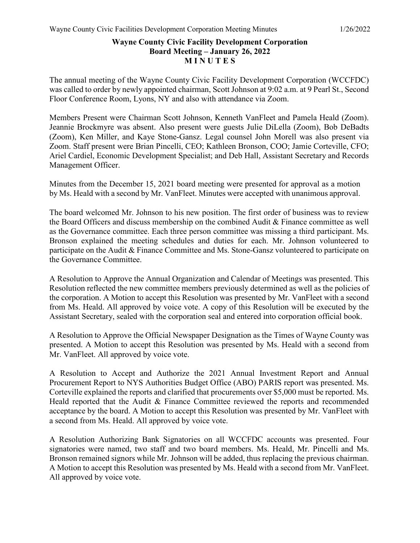## **Wayne County Civic Facility Development Corporation Board Meeting – January 26, 2022 M I N U T E S**

The annual meeting of the Wayne County Civic Facility Development Corporation (WCCFDC) was called to order by newly appointed chairman, Scott Johnson at 9:02 a.m. at 9 Pearl St., Second Floor Conference Room, Lyons, NY and also with attendance via Zoom.

Members Present were Chairman Scott Johnson, Kenneth VanFleet and Pamela Heald (Zoom). Jeannie Brockmyre was absent. Also present were guests Julie DiLella (Zoom), Bob DeBadts (Zoom), Ken Miller, and Kaye Stone-Gansz. Legal counsel John Morell was also present via Zoom. Staff present were Brian Pincelli, CEO; Kathleen Bronson, COO; Jamie Corteville, CFO; Ariel Cardiel, Economic Development Specialist; and Deb Hall, Assistant Secretary and Records Management Officer.

Minutes from the December 15, 2021 board meeting were presented for approval as a motion by Ms. Heald with a second by Mr. VanFleet. Minutes were accepted with unanimous approval.

The board welcomed Mr. Johnson to his new position. The first order of business was to review the Board Officers and discuss membership on the combined Audit & Finance committee as well as the Governance committee. Each three person committee was missing a third participant. Ms. Bronson explained the meeting schedules and duties for each. Mr. Johnson volunteered to participate on the Audit & Finance Committee and Ms. Stone-Gansz volunteered to participate on the Governance Committee.

A Resolution to Approve the Annual Organization and Calendar of Meetings was presented. This Resolution reflected the new committee members previously determined as well as the policies of the corporation. A Motion to accept this Resolution was presented by Mr. VanFleet with a second from Ms. Heald. All approved by voice vote. A copy of this Resolution will be executed by the Assistant Secretary, sealed with the corporation seal and entered into corporation official book.

A Resolution to Approve the Official Newspaper Designation as the Times of Wayne County was presented. A Motion to accept this Resolution was presented by Ms. Heald with a second from Mr. VanFleet. All approved by voice vote.

A Resolution to Accept and Authorize the 2021 Annual Investment Report and Annual Procurement Report to NYS Authorities Budget Office (ABO) PARIS report was presented. Ms. Corteville explained the reports and clarified that procurements over \$5,000 must be reported. Ms. Heald reported that the Audit & Finance Committee reviewed the reports and recommended acceptance by the board. A Motion to accept this Resolution was presented by Mr. VanFleet with a second from Ms. Heald. All approved by voice vote.

A Resolution Authorizing Bank Signatories on all WCCFDC accounts was presented. Four signatories were named, two staff and two board members. Ms. Heald, Mr. Pincelli and Ms. Bronson remained signors while Mr. Johnson will be added, thus replacing the previous chairman. A Motion to accept this Resolution was presented by Ms. Heald with a second from Mr. VanFleet. All approved by voice vote.